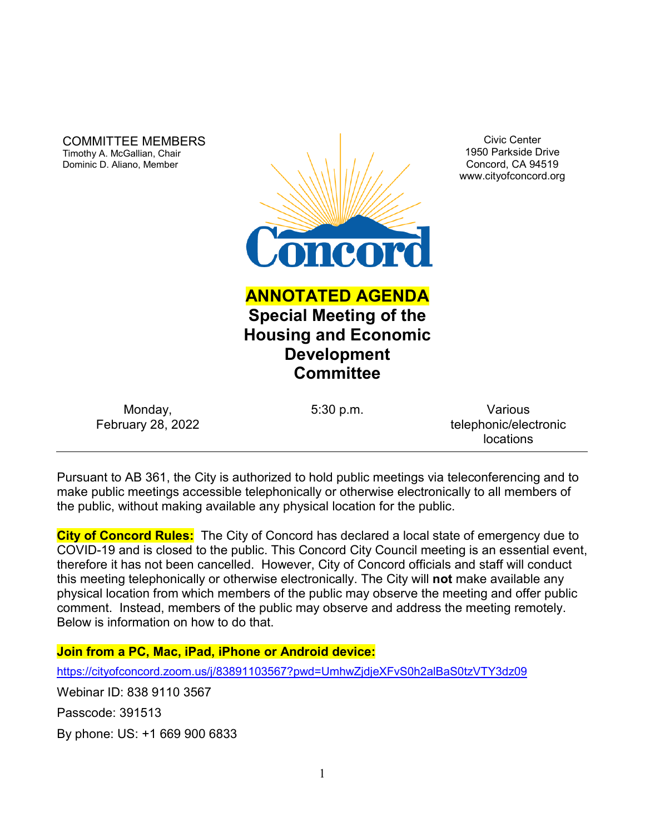COMMITTEE MEMBERS Timothy A. McGallian, Chair Dominic D. Aliano, Member



Civic Center 1950 Parkside Drive Concord, CA 94519 www.cityofconcord.org

# **ANNOTATED AGENDA Special Meeting of the Housing and Economic Development Committee**

| Monday,                  |  |
|--------------------------|--|
| <b>February 28, 2022</b> |  |

5:30 p.m. Various telephonic/electronic locations

Pursuant to AB 361, the City is authorized to hold public meetings via teleconferencing and to make public meetings accessible telephonically or otherwise electronically to all members of the public, without making available any physical location for the public.

**City of Concord Rules:** The City of Concord has declared a local state of emergency due to COVID-19 and is closed to the public. This Concord City Council meeting is an essential event, therefore it has not been cancelled. However, City of Concord officials and staff will conduct this meeting telephonically or otherwise electronically. The City will **not** make available any physical location from which members of the public may observe the meeting and offer public comment. Instead, members of the public may observe and address the meeting remotely. Below is information on how to do that.

**Join from a PC, Mac, iPad, iPhone or Android device:**

<https://cityofconcord.zoom.us/j/83891103567?pwd=UmhwZjdjeXFvS0h2alBaS0tzVTY3dz09>

Webinar ID: 838 9110 3567

Passcode: 391513

By phone: US: +1 669 900 6833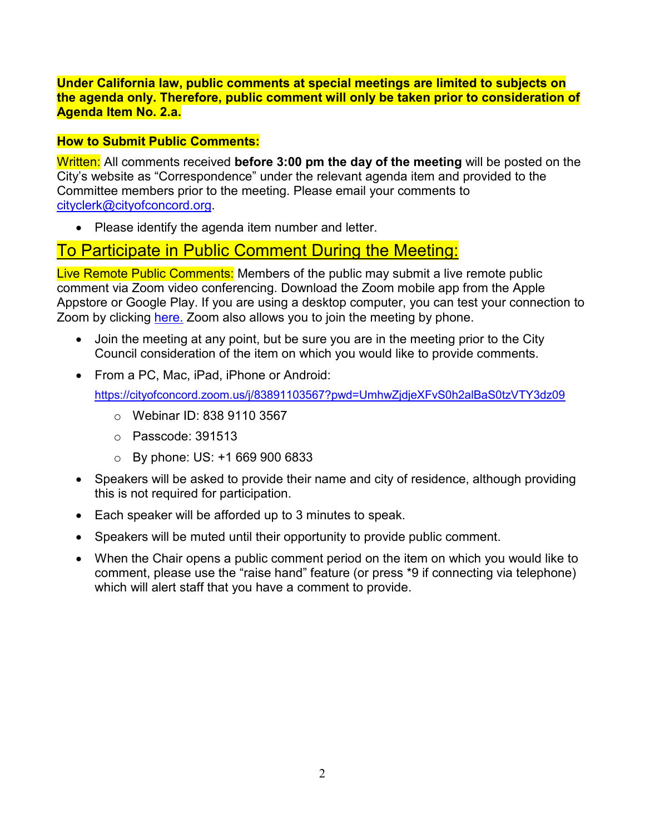**Under California law, public comments at special meetings are limited to subjects on the agenda only. Therefore, public comment will only be taken prior to consideration of Agenda Item No. 2.a.**

## **How to Submit Public Comments:**

Written: All comments received **before 3:00 pm the day of the meeting** will be posted on the City's website as "Correspondence" under the relevant agenda item and provided to the Committee members prior to the meeting. Please email your comments to [cityclerk@cityofconcord.org.](mailto:cityclerk@cityofconcord.org)

• Please identify the agenda item number and letter.

# To Participate in Public Comment During the Meeting:

Live Remote Public Comments: Members of the public may submit a live remote public comment via Zoom video conferencing. Download the Zoom mobile app from the Apple Appstore or Google Play. If you are using a desktop computer, you can test your connection to Zoom by clicking [here.](https://www.zoom.us/join) Zoom also allows you to join the meeting by phone.

- Join the meeting at any point, but be sure you are in the meeting prior to the City Council consideration of the item on which you would like to provide comments.
- From a PC, Mac, iPad, iPhone or Android:

<https://cityofconcord.zoom.us/j/83891103567?pwd=UmhwZjdjeXFvS0h2alBaS0tzVTY3dz09>

- o Webinar ID: 838 9110 3567
- o Passcode: 391513
- $\circ$  By phone: US: +1 669 900 6833
- Speakers will be asked to provide their name and city of residence, although providing this is not required for participation.
- Each speaker will be afforded up to 3 minutes to speak.
- Speakers will be muted until their opportunity to provide public comment.
- When the Chair opens a public comment period on the item on which you would like to comment, please use the "raise hand" feature (or press \*9 if connecting via telephone) which will alert staff that you have a comment to provide.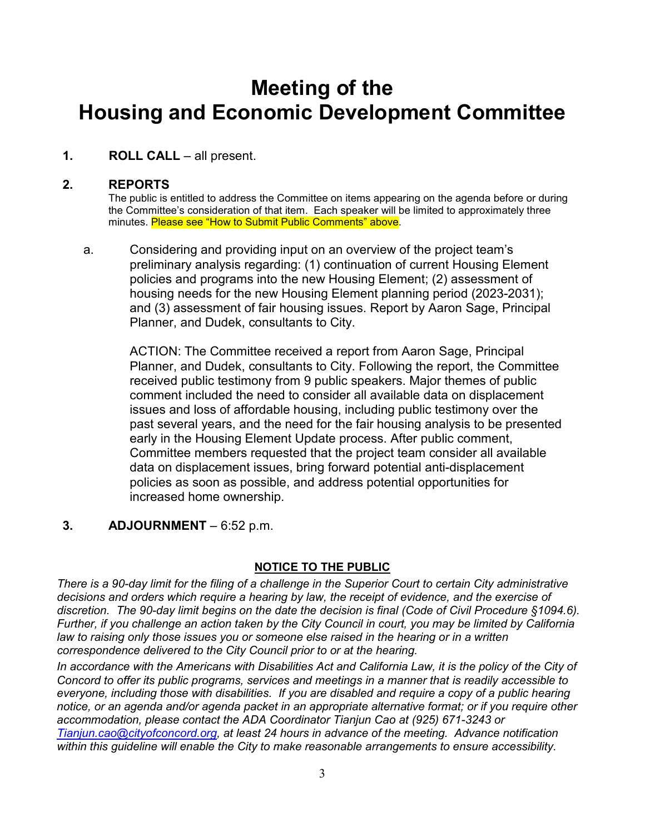# **Meeting of the Housing and Economic Development Committee**

## **1. ROLL CALL** – all present.

### **2. REPORTS**

The public is entitled to address the Committee on items appearing on the agenda before or during the Committee's consideration of that item. Each speaker will be limited to approximately three minutes. Please see "How to Submit Public Comments" above.

a. Considering and providing input on an overview of the project team's preliminary analysis regarding: (1) continuation of current Housing Element policies and programs into the new Housing Element; (2) assessment of housing needs for the new Housing Element planning period (2023-2031); and (3) assessment of fair housing issues. Report by Aaron Sage, Principal Planner, and Dudek, consultants to City.

ACTION: The Committee received a report from Aaron Sage, Principal Planner, and Dudek, consultants to City. Following the report, the Committee received public testimony from 9 public speakers. Major themes of public comment included the need to consider all available data on displacement issues and loss of affordable housing, including public testimony over the past several years, and the need for the fair housing analysis to be presented early in the Housing Element Update process. After public comment, Committee members requested that the project team consider all available data on displacement issues, bring forward potential anti-displacement policies as soon as possible, and address potential opportunities for increased home ownership.

#### **3. ADJOURNMENT** – 6:52 p.m.

#### **NOTICE TO THE PUBLIC**

*There is a 90-day limit for the filing of a challenge in the Superior Court to certain City administrative decisions and orders which require a hearing by law, the receipt of evidence, and the exercise of discretion. The 90-day limit begins on the date the decision is final (Code of Civil Procedure §1094.6). Further, if you challenge an action taken by the City Council in court, you may be limited by California law to raising only those issues you or someone else raised in the hearing or in a written correspondence delivered to the City Council prior to or at the hearing.*

*In accordance with the Americans with Disabilities Act and California Law, it is the policy of the City of Concord to offer its public programs, services and meetings in a manner that is readily accessible to everyone, including those with disabilities. If you are disabled and require a copy of a public hearing notice, or an agenda and/or agenda packet in an appropriate alternative format; or if you require other accommodation, please contact the ADA Coordinator Tianjun Cao at (925) 671-3243 or [Tianjun.cao@cityofconcord.org,](mailto:Tianjun.cao@cityofconcord.org) at least 24 hours in advance of the meeting. Advance notification within this guideline will enable the City to make reasonable arrangements to ensure accessibility.*